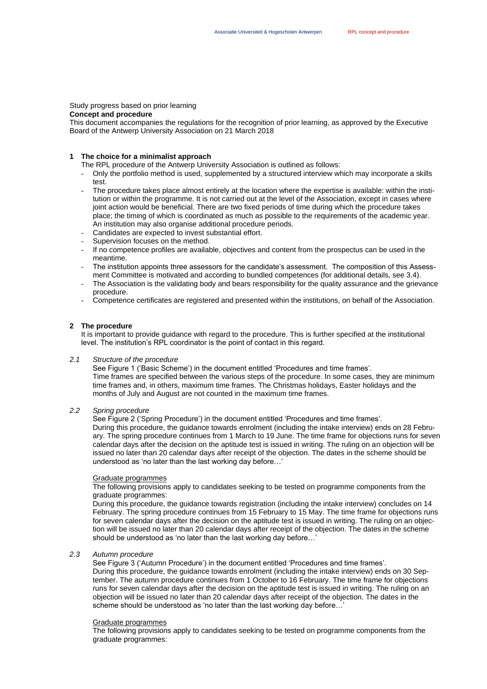# Study progress based on prior learning

# **Concept and procedure**

This document accompanies the regulations for the recognition of prior learning, as approved by the Executive Board of the Antwerp University Association on 21 March 2018

# **1 The choice for a minimalist approach**

The RPL procedure of the Antwerp University Association is outlined as follows:

- Only the portfolio method is used, supplemented by a structured interview which may incorporate a skills test.
- The procedure takes place almost entirely at the location where the expertise is available: within the institution or within the programme. It is not carried out at the level of the Association, except in cases where joint action would be beneficial. There are two fixed periods of time during which the procedure takes place; the timing of which is coordinated as much as possible to the requirements of the academic year. An institution may also organise additional procedure periods.
- Candidates are expected to invest substantial effort.
- Supervision focuses on the method.
- If no competence profiles are available, objectives and content from the prospectus can be used in the meantime.
- The institution appoints three assessors for the candidate's assessment. The composition of this Assessment Committee is motivated and according to bundled competences (for additional details, see 3.4).
- The Association is the validating body and bears responsibility for the quality assurance and the grievance procedure.
- Competence certificates are registered and presented within the institutions, on behalf of the Association.

# **2 The procedure**

It is important to provide guidance with regard to the procedure. This is further specified at the institutional level. The institution's RPL coordinator is the point of contact in this regard.

#### *2.1 Structure of the procedure*

See Figure 1 ('Basic Scheme') in the document entitled 'Procedures and time frames'. Time frames are specified between the various steps of the procedure. In some cases, they are minimum time frames and, in others, maximum time frames. The Christmas holidays, Easter holidays and the months of July and August are not counted in the maximum time frames.

# *2.2 Spring procedure*

See Figure 2 ('Spring Procedure') in the document entitled 'Procedures and time frames'. During this procedure, the guidance towards enrolment (including the intake interview) ends on 28 February. The spring procedure continues from 1 March to 19 June. The time frame for objections runs for seven calendar days after the decision on the aptitude test is issued in writing. The ruling on an objection will be issued no later than 20 calendar days after receipt of the objection. The dates in the scheme should be understood as 'no later than the last working day before…'

## Graduate programmes

The following provisions apply to candidates seeking to be tested on programme components from the graduate programmes:

During this procedure, the guidance towards registration (including the intake interview) concludes on 14 February. The spring procedure continues from 15 February to 15 May. The time frame for objections runs for seven calendar days after the decision on the aptitude test is issued in writing. The ruling on an objection will be issued no later than 20 calendar days after receipt of the objection. The dates in the scheme should be understood as 'no later than the last working day before…'

# *2.3 Autumn procedure*

See Figure 3 ('Autumn Procedure') in the document entitled 'Procedures and time frames'. During this procedure, the guidance towards enrolment (including the intake interview) ends on 30 September. The autumn procedure continues from 1 October to 16 February. The time frame for objections runs for seven calendar days after the decision on the aptitude test is issued in writing. The ruling on an objection will be issued no later than 20 calendar days after receipt of the objection. The dates in the scheme should be understood as 'no later than the last working day before…'

# Graduate programmes

The following provisions apply to candidates seeking to be tested on programme components from the graduate programmes: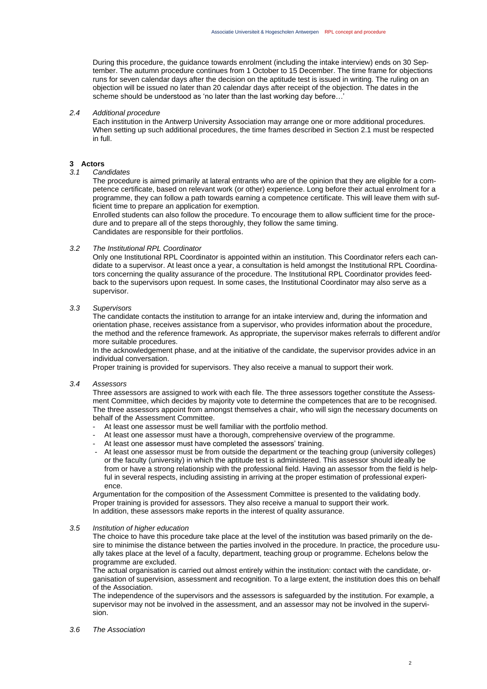During this procedure, the guidance towards enrolment (including the intake interview) ends on 30 September. The autumn procedure continues from 1 October to 15 December. The time frame for objections runs for seven calendar days after the decision on the aptitude test is issued in writing. The ruling on an objection will be issued no later than 20 calendar days after receipt of the objection. The dates in the scheme should be understood as 'no later than the last working day before…'

# *2.4 Additional procedure*

Each institution in the Antwerp University Association may arrange one or more additional procedures. When setting up such additional procedures, the time frames described in Section 2.1 must be respected in full.

# **3 Actors**

# *3.1 Candidates*

The procedure is aimed primarily at lateral entrants who are of the opinion that they are eligible for a competence certificate, based on relevant work (or other) experience. Long before their actual enrolment for a programme, they can follow a path towards earning a competence certificate. This will leave them with sufficient time to prepare an application for exemption.

Enrolled students can also follow the procedure. To encourage them to allow sufficient time for the procedure and to prepare all of the steps thoroughly, they follow the same timing. Candidates are responsible for their portfolios.

# *3.2 The Institutional RPL Coordinator*

Only one Institutional RPL Coordinator is appointed within an institution. This Coordinator refers each candidate to a supervisor. At least once a year, a consultation is held amongst the Institutional RPL Coordinators concerning the quality assurance of the procedure. The Institutional RPL Coordinator provides feedback to the supervisors upon request. In some cases, the Institutional Coordinator may also serve as a supervisor.

# *3.3 Supervisors*

The candidate contacts the institution to arrange for an intake interview and, during the information and orientation phase, receives assistance from a supervisor, who provides information about the procedure, the method and the reference framework. As appropriate, the supervisor makes referrals to different and/or more suitable procedures.

In the acknowledgement phase, and at the initiative of the candidate, the supervisor provides advice in an individual conversation.

Proper training is provided for supervisors. They also receive a manual to support their work.

#### *3.4 Assessors*

Three assessors are assigned to work with each file. The three assessors together constitute the Assessment Committee, which decides by majority vote to determine the competences that are to be recognised. The three assessors appoint from amongst themselves a chair, who will sign the necessary documents on behalf of the Assessment Committee.

- At least one assessor must be well familiar with the portfolio method.
- At least one assessor must have a thorough, comprehensive overview of the programme.
- At least one assessor must have completed the assessors' training.
- At least one assessor must be from outside the department or the teaching group (university colleges) or the faculty (university) in which the aptitude test is administered. This assessor should ideally be from or have a strong relationship with the professional field. Having an assessor from the field is helpful in several respects, including assisting in arriving at the proper estimation of professional experience.

Argumentation for the composition of the Assessment Committee is presented to the validating body. Proper training is provided for assessors. They also receive a manual to support their work. In addition, these assessors make reports in the interest of quality assurance.

# *3.5 Institution of higher education*

The choice to have this procedure take place at the level of the institution was based primarily on the desire to minimise the distance between the parties involved in the procedure. In practice, the procedure usually takes place at the level of a faculty, department, teaching group or programme. Echelons below the programme are excluded.

The actual organisation is carried out almost entirely within the institution: contact with the candidate, organisation of supervision, assessment and recognition. To a large extent, the institution does this on behalf of the Association.

The independence of the supervisors and the assessors is safeguarded by the institution. For example, a supervisor may not be involved in the assessment, and an assessor may not be involved in the supervision.

# *3.6 The Association*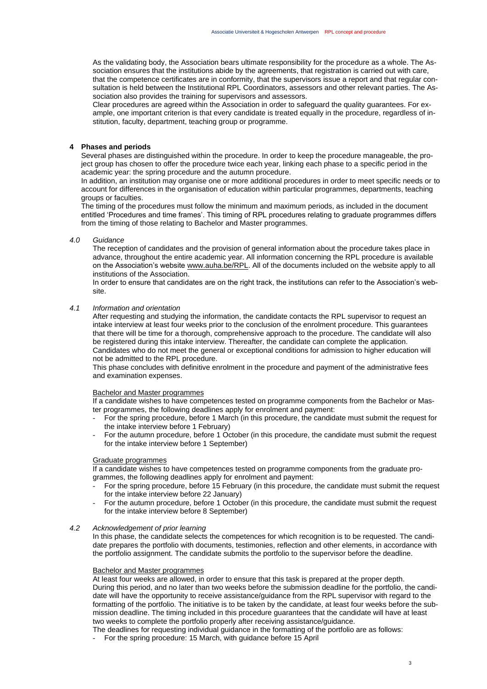As the validating body, the Association bears ultimate responsibility for the procedure as a whole. The Association ensures that the institutions abide by the agreements, that registration is carried out with care, that the competence certificates are in conformity, that the supervisors issue a report and that regular consultation is held between the Institutional RPL Coordinators, assessors and other relevant parties. The Association also provides the training for supervisors and assessors.

Clear procedures are agreed within the Association in order to safeguard the quality guarantees. For example, one important criterion is that every candidate is treated equally in the procedure, regardless of institution, faculty, department, teaching group or programme.

# **4 Phases and periods**

Several phases are distinguished within the procedure. In order to keep the procedure manageable, the project group has chosen to offer the procedure twice each year, linking each phase to a specific period in the academic year: the spring procedure and the autumn procedure.

In addition, an institution may organise one or more additional procedures in order to meet specific needs or to account for differences in the organisation of education within particular programmes, departments, teaching groups or faculties.

The timing of the procedures must follow the minimum and maximum periods, as included in the document entitled 'Procedures and time frames'. This timing of RPL procedures relating to graduate programmes differs from the timing of those relating to Bachelor and Master programmes.

# *4.0 Guidance*

The reception of candidates and the provision of general information about the procedure takes place in advance, throughout the entire academic year. All information concerning the RPL procedure is available on the Association's website [www.auha.be/RPL.](http://www.auha.be/RPL) All of the documents included on the website apply to all institutions of the Association.

In order to ensure that candidates are on the right track, the institutions can refer to the Association's website.

# *4.1 Information and orientation*

After requesting and studying the information, the candidate contacts the RPL supervisor to request an intake interview at least four weeks prior to the conclusion of the enrolment procedure. This guarantees that there will be time for a thorough, comprehensive approach to the procedure. The candidate will also be registered during this intake interview. Thereafter, the candidate can complete the application. Candidates who do not meet the general or exceptional conditions for admission to higher education will not be admitted to the RPL procedure.

This phase concludes with definitive enrolment in the procedure and payment of the administrative fees and examination expenses.

#### Bachelor and Master programmes

If a candidate wishes to have competences tested on programme components from the Bachelor or Master programmes, the following deadlines apply for enrolment and payment:

- For the spring procedure, before 1 March (in this procedure, the candidate must submit the request for the intake interview before 1 February)
- For the autumn procedure, before 1 October (in this procedure, the candidate must submit the request for the intake interview before 1 September)

# Graduate programmes

If a candidate wishes to have competences tested on programme components from the graduate programmes, the following deadlines apply for enrolment and payment:

- For the spring procedure, before 15 February (in this procedure, the candidate must submit the request for the intake interview before 22 January)
- For the autumn procedure, before 1 October (in this procedure, the candidate must submit the request for the intake interview before 8 September)

# *4.2 Acknowledgement of prior learning*

In this phase, the candidate selects the competences for which recognition is to be requested. The candidate prepares the portfolio with documents, testimonies, reflection and other elements, in accordance with the portfolio assignment. The candidate submits the portfolio to the supervisor before the deadline.

#### Bachelor and Master programmes

At least four weeks are allowed, in order to ensure that this task is prepared at the proper depth. During this period, and no later than two weeks before the submission deadline for the portfolio, the candidate will have the opportunity to receive assistance/guidance from the RPL supervisor with regard to the formatting of the portfolio. The initiative is to be taken by the candidate, at least four weeks before the submission deadline. The timing included in this procedure guarantees that the candidate will have at least two weeks to complete the portfolio properly after receiving assistance/guidance.

The deadlines for requesting individual guidance in the formatting of the portfolio are as follows:

- For the spring procedure: 15 March, with guidance before 15 April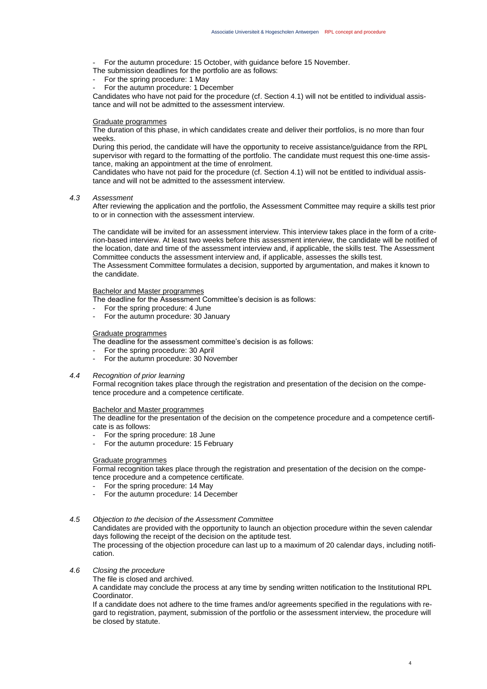- For the autumn procedure: 15 October, with guidance before 15 November.
- The submission deadlines for the portfolio are as follows:
- For the spring procedure: 1 May
- For the autumn procedure: 1 December

Candidates who have not paid for the procedure (cf. Section 4.1) will not be entitled to individual assistance and will not be admitted to the assessment interview.

# Graduate programmes

The duration of this phase, in which candidates create and deliver their portfolios, is no more than four weeks.

During this period, the candidate will have the opportunity to receive assistance/guidance from the RPL supervisor with regard to the formatting of the portfolio. The candidate must request this one-time assistance, making an appointment at the time of enrolment.

Candidates who have not paid for the procedure (cf. Section 4.1) will not be entitled to individual assistance and will not be admitted to the assessment interview.

#### *4.3 Assessment*

After reviewing the application and the portfolio, the Assessment Committee may require a skills test prior to or in connection with the assessment interview.

The candidate will be invited for an assessment interview. This interview takes place in the form of a criterion-based interview. At least two weeks before this assessment interview, the candidate will be notified of the location, date and time of the assessment interview and, if applicable, the skills test. The Assessment Committee conducts the assessment interview and, if applicable, assesses the skills test. The Assessment Committee formulates a decision, supported by argumentation, and makes it known to the candidate.

# Bachelor and Master programmes

The deadline for the Assessment Committee's decision is as follows:

- For the spring procedure: 4 June
- For the autumn procedure: 30 January

# Graduate programmes

The deadline for the assessment committee's decision is as follows:

- For the spring procedure: 30 April
- For the autumn procedure: 30 November

# *4.4 Recognition of prior learning*

Formal recognition takes place through the registration and presentation of the decision on the competence procedure and a competence certificate.

#### Bachelor and Master programmes

The deadline for the presentation of the decision on the competence procedure and a competence certificate is as follows:

- For the spring procedure: 18 June
- For the autumn procedure: 15 February

#### Graduate programmes

Formal recognition takes place through the registration and presentation of the decision on the competence procedure and a competence certificate.

- For the spring procedure: 14 May
- For the autumn procedure: 14 December

# *4.5 Objection to the decision of the Assessment Committee*

Candidates are provided with the opportunity to launch an objection procedure within the seven calendar days following the receipt of the decision on the aptitude test.

The processing of the objection procedure can last up to a maximum of 20 calendar days, including notification.

# *4.6 Closing the procedure*

The file is closed and archived.

A candidate may conclude the process at any time by sending written notification to the Institutional RPL **Coordinator** 

If a candidate does not adhere to the time frames and/or agreements specified in the regulations with regard to registration, payment, submission of the portfolio or the assessment interview, the procedure will be closed by statute.